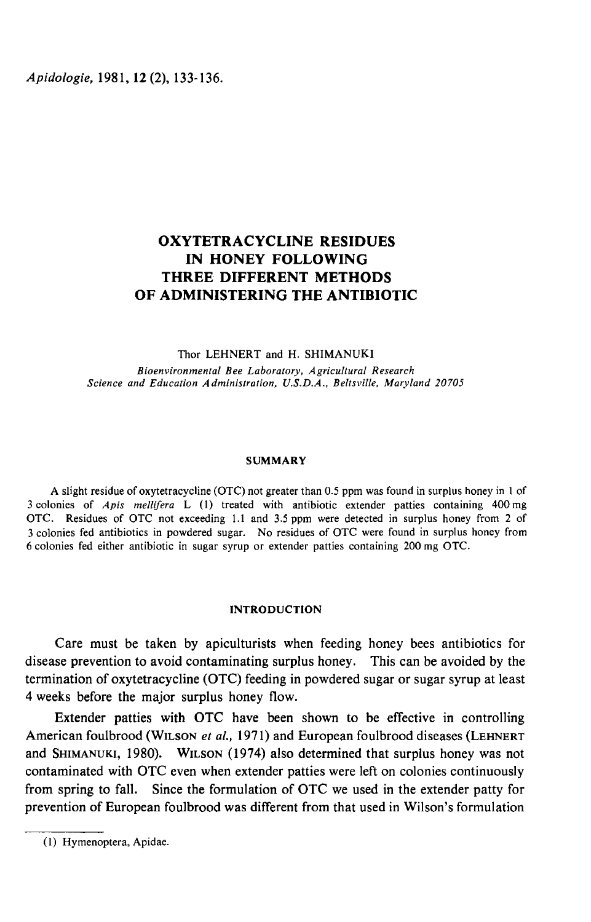Apidologie, 1981, 12 (2), 133-136.

# OXYTETRACYCLINE RESIDUES IN HONEY FOLLOWING THREE DIFFERENT METHODS OF ADMINISTERING THE ANTIBIOTIC

#### Thor LEHNERT and H. SHIMANUKI

Bioenvironmental Bee Laboratory, Agricultural Research Science and Education Administration, U.S.D.A., Beltsville, Maryland 20705

#### **SUMMARY**

A slight residue of oxytetracycline (OTC) not greater than 0.5 ppm was found in surplus honey in 1 of 3 colonies of Apis mellifera L (1) treated with antibiotic extender patties containing 400 mg OTC. Residues of OTC not exceeding 1.1 and 3.5 ppm were detected in surplus honey from 2 of 3 colonies fed antibiotics in powdered sugar. No residues of OTC were found in surplus honey from 6 colonies fed either antibiotic in sugar syrup or extender patties containing 200 mg OTC.

# INTRODUCTION

Care must be taken by apiculturists when feeding honey bees antibiotics for disease prevention to avoid contaminating surplus honey. This can be avoided by the 4 weeks before the major surplus honey flow.

termination of oxytetracycline (OTC) feeding in powdered sugar or sugar syrup at least<br>4 weeks before the major surplus honey flow.<br>Extender patties with OTC have been shown to be effective in controlling<br>American foulbroo Extender patties with OTC have been shown to be effective in controlling<br>American foulbrood (WILSON *et al.*, 1971) and European foulbrood diseases (LEHNERT contaminated with OTC even when extender patties were left on colonies continuously from spring to fall. Since the formulation of OTC we used in the extender patty for prevention of European foulbrood was different from that used in Wilson's formulation

<sup>(1)</sup> Hymenoptera, Apidae.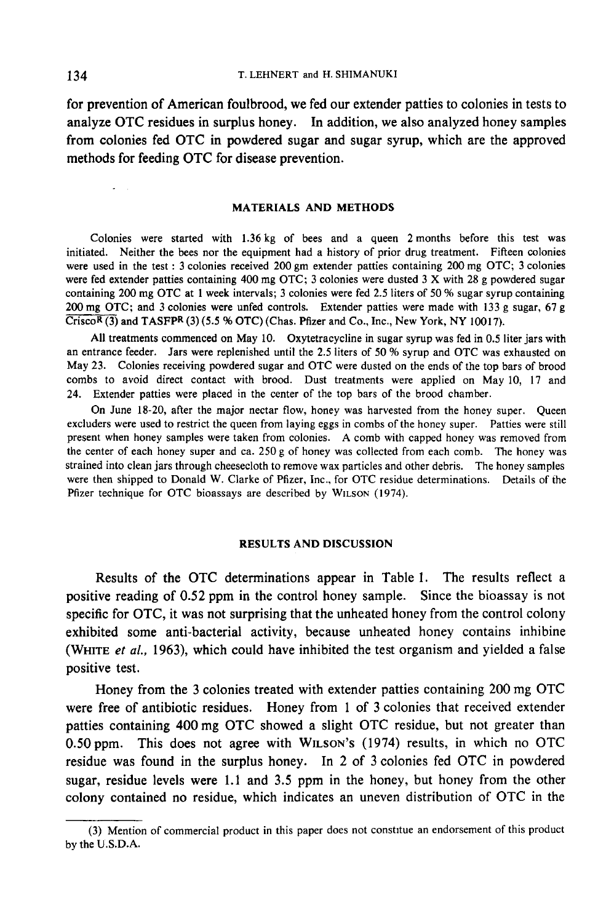for prevention of American foulbrood, we fed our extender patties to colonies in tests to analyze OTC residues in surplus honey. In addition, we also analyzed honey samples from colonies fed OTC in powdered sugar and sugar syrup, which are the approved methods for feeding OTC for disease prevention.

# MATERIALS AND METHODS

Colonies were started with 1.36 kg of bees and a queen 2 months before this test was initiated. Neither the bees nor the equipment had a history of prior drug treatment. Fifteen colonies were used in the test : 3 colonies received 200 gm extender patties containing 200 mg OTC; 3 colonies were fed extender patties containing 400 mg OTC; 3 colonies were dusted 3 X with 28 g powdered sugar containing 200 mg OTC at 1 week intervals; 3 colonies were fed 2.5 liters of 50 % sugar syrup containing 200 mg OTC; and 3 colonies were unfed controls. Extender patties were made with 133 g sugar, 67 g were fed extender patties containing 400 mg OTC; 3 colonies were dusted 3 X with 28 g po<br>containing 200 mg OTC at 1 week intervals; 3 colonies were fed 2.5 liters of 50 % sugar syrt<br>200 mg OTC; and 3 colonies were unfed c

All treatments commenced on May 10. Oxytetracycline in sugar syrup was fed in 0.5 liter jars with an entrance feeder. Jars were replenished until the 2.5 liters of 50 % syrup and OTC was exhausted on May 23. Colonies receiving powdered sugar and OTC were dusted on the ends of the top bars of brood combs to avoid direct contact with brood. Dust treatments were applied on May 10, 17 and 24. Extender patties were placed in the center of the top bars of the brood chamber.

On June 18-20, after the major nectar flow, honey was harvested from the honey super. Queen excluders were used to restrict the queen from laying eggs in combs of the honey super. Patties were still present when honey samples were taken from colonies. A comb with capped honey was removed from the center of each honey super and ca. 250 g of honey was collected from each comb. The honey was strained into clean jars through cheesecloth to remove wax particles and other debris. The honey samples were then shipped to Donald W. Clarke of Pfizer, Inc., for OTC residue determinations. Details of the Pfizer technique for OTC bioassays are described by WILSON (1974).

# RESULTS AND DISCUSSION

Results of the OTC determinations appear in Table 1. The results reflect a positive reading of 0.52 ppm in the control honey sample. Since the bioassay is not specific for OTC, it was not surprising that the unheated honey from the control colony exhibited some anti-bacterial activity, because unheated honey contains inhibine (WHITE et al., 1963), which could have inhibited the test organism and yielded a false positive test.

Honey from the 3 colonies treated with extender patties containing 200 mg OTC were free of antibiotic residues. Honey from 1 of 3 colonies that received extender patties containing 400 mg OTC showed a slight OTC residue, but not greater than Honey from the 3 colonies treated with extender patties containing 200 mg OTC<br>were free of antibiotic residues. Honey from 1 of 3 colonies that received extender<br>patties containing 400 mg OTC showed a slight OTC residue, b sugar, residue levels were 1.1 and 3.5 ppm in the honey, but honey from the other colony contained no residue, which indicates an uneven distribution of OTC in the

!

<sup>(3)</sup> Mention of commercial product in this paper does not constitue an endorsement of this product by the U.S.D.A.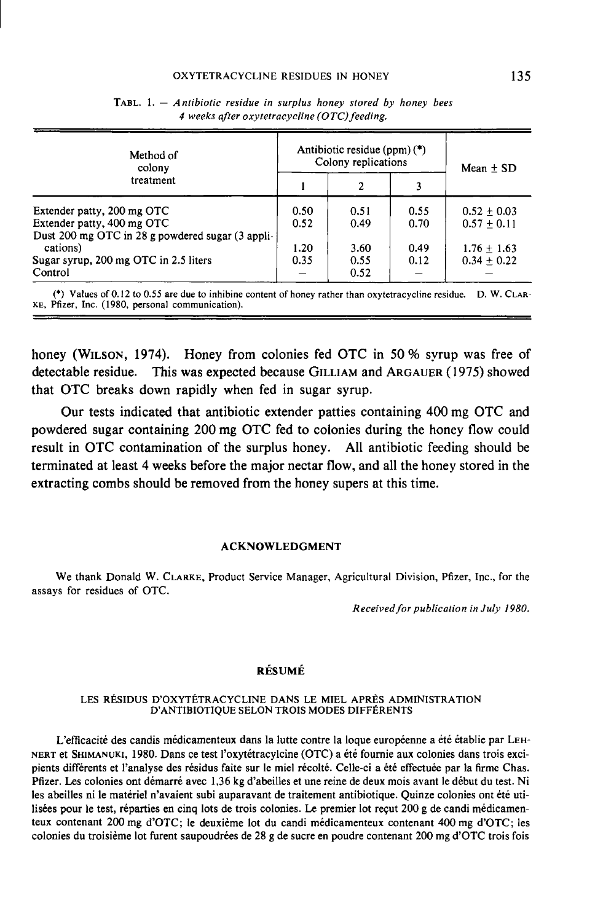#### OXYTETRACYCLINE RESIDUES IN HONEY

| Method of<br>colony                                                                        |              | Antibiotic residue (ppm) $(*)$<br>Colony replications | Mean $+$ SD  |                                |  |
|--------------------------------------------------------------------------------------------|--------------|-------------------------------------------------------|--------------|--------------------------------|--|
| treatment                                                                                  |              | 2                                                     | 3            |                                |  |
| Extender patty, 200 mg OTC                                                                 | 0.50         | 0.51                                                  | 0.55         | $0.52 + 0.03$                  |  |
| Extender patty, 400 mg OTC<br>Dust 200 mg OTC in 28 g powdered sugar (3 appli-<br>cations) | 0.52<br>1.20 | 0.49<br>3.60                                          | 0.70<br>0.49 | $0.57 + 0.11$<br>$1.76 + 1.63$ |  |
| Sugar syrup, 200 mg OTC in 2.5 liters<br>Control                                           | 0.35         | 0.55<br>0.52                                          | 0.12         | $0.34 \pm 0.22$                |  |

| <b>TABL.</b> 1. $-$ Antibiotic residue in surplus honey stored by honey bees |  |  |  |  |  |  |  |  |  |  |  |
|------------------------------------------------------------------------------|--|--|--|--|--|--|--|--|--|--|--|
| 4 weeks after oxytetracycline (OTC) feeding.                                 |  |  |  |  |  |  |  |  |  |  |  |

honey (WILSON, 1974). Honey from colonies fed OTC in 50 % syrup was free of detectable residue. This was expected because GILLIAM and ARGAUER (1975) showed Sugar syrup, 200 mg OTC in 2.5 liters<br>
Control<br>
(\*) Values of 0.12 to 0.55 are due to inhibine content of honey rather than oxytetracycline residue. D. W. CLAR<br>
KE, Pfizer, Inc. (1980, personal communication).<br>
<br>
honey (W that OTC breaks down rapidly when fed in sugar syrup.

Our tests indicated that antibiotic extender patties containing 400 mg OTC and powdered sugar containing 200 mg OTC fed to colonies during the honey flow could result in OTC contamination of the surplus honey. All antibiotic feeding should be terminated at least 4 weeks before the major nectar flow, and all the honey stored in the extracting combs should be removed from the honey supers at this time.

### ACKNOWLEDGMENT

We thank Donald W. CLARKE, Product Service Manager, Agricultural Division, Pfizer, Inc., for the assays for residues of OTC.

Received for publication in July 1980.

# RÉSUMÉ

#### LES RÉSIDUS D'OXYTÉTRACYCLINE DANS LE MIEL APRÈS ADMINISTRATION D'ANTIBIOTIQUE SELON TROIS MODES DIFFÉRENTS

L'efficacité des candis médicamenteux dans la lutte contre la loque européenne a été établie par LEH-LES RÉSIDUS D'OXYTÉTRACYCLINE DANS LE MIEL APRÈS ADMINISTRATION<br>D'ANTIBIOTIQUE SELON TROIS MODES DIFFÉRENTS<br>NERT et SHIMANUKI, 1980. Dans ce test l'oxytétracylcine (OTC) a été fournie aux colonies dans trois exci-<br>pients d Pfizer. Les colonies ont démarré avec 1,36 kg d'abeilles et une reine de deux mois avant le début du test. Ni les abeilles ni le matériel n'avaient subi auparavant de traitement antibiotique. Quinze colonies ont été utilisées pour le test, réparties en cinq lots de trois colonies. Le premier lot reçut 200 g de candi médicamenteux contenant 200 mg d'OTC; le deuxième lot du candi médicamenteux contenant 400 mg d'OTC; les colonies du troisième lot furent saupoudrées de 28 g de sucre en poudre contenant 200 mg d'OTC trois fois